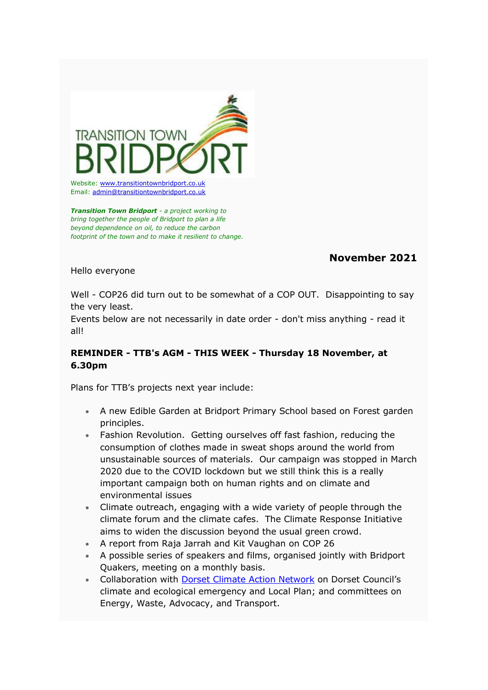

Email: [admin@transitiontownbridport.co.uk](mailto:admin@transitiontownbridport.co.uk)

*Transition Town Bridport - a project working to bring together the people of Bridport to plan a life beyond dependence on oil, to reduce the carbon footprint of the town and to make it resilient to change.*

# **November 2021**

Hello everyone

Well - COP26 did turn out to be somewhat of a COP OUT. Disappointing to say the very least.

Events below are not necessarily in date order - don't miss anything - read it all!

## **REMINDER - TTB's AGM - THIS WEEK - Thursday 18 November, at 6.30pm**

Plans for TTB's projects next year include:

- A new Edible Garden at Bridport Primary School based on Forest garden principles.
- Fashion Revolution. Getting ourselves off fast fashion, reducing the consumption of clothes made in sweat shops around the world from unsustainable sources of materials. Our campaign was stopped in March 2020 due to the COVID lockdown but we still think this is a really important campaign both on human rights and on climate and environmental issues
- Climate outreach, engaging with a wide variety of people through the climate forum and the climate cafes. The Climate Response Initiative aims to widen the discussion beyond the usual green crowd.
- A report from Raja Jarrah and Kit Vaughan on COP 26
- A possible series of speakers and films, organised jointly with Bridport Quakers, meeting on a monthly basis.
- Collaboration with [Dorset Climate Action Network](https://transitiontownbridport.us13.list-manage.com/track/click?u=c5fcbeedffae114d69833f643&id=560dfb5b6d&e=7424f95957) on Dorset Council's climate and ecological emergency and Local Plan; and committees on Energy, Waste, Advocacy, and Transport.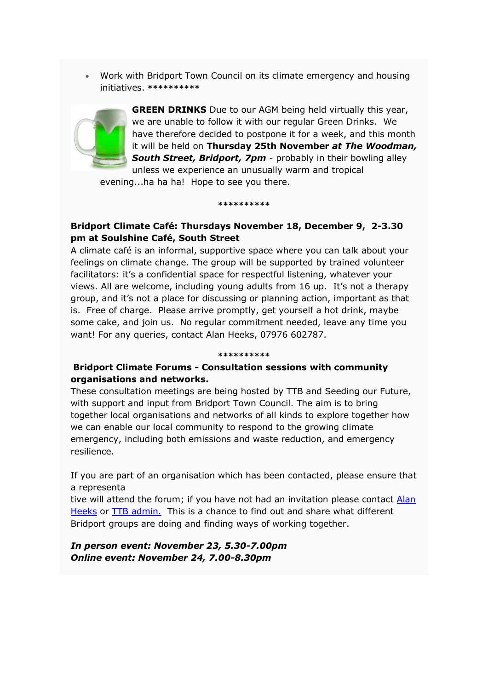• Work with Bridport Town Council on its climate emergency and housing initiatives. **\*\*\*\*\*\*\*\*\*\***



**GREEN DRINKS** Due to our AGM being held virtually this year, we are unable to follow it with our regular Green Drinks. We have therefore decided to postpone it for a week, and this month it will be held on **Thursday 25th November** *at The Woodman,*  **South Street, Bridport, 7pm** - probably in their bowling alley unless we experience an unusually warm and tropical

evening...ha ha ha! Hope to see you there.

**\*\*\*\*\*\*\*\*\*\***

### **Bridport Climate Café: Thursdays November 18, December 9, 2-3.30 pm at Soulshine Café, South Street**

A climate café is an informal, supportive space where you can talk about your feelings on climate change. The group will be supported by trained volunteer facilitators: it's a confidential space for respectful listening, whatever your views. All are welcome, including young adults from 16 up. It's not a therapy group, and it's not a place for discussing or planning action, important as that is. Free of charge. Please arrive promptly, get yourself a hot drink, maybe some cake, and join us. No regular commitment needed, leave any time you want! For any queries, contact Alan Heeks, 07976 602787.

#### **\*\*\*\*\*\*\*\*\*\***

#### **Bridport Climate Forums - Consultation sessions with community organisations and networks.**

These consultation meetings are being hosted by TTB and Seeding our Future, with support and input from Bridport Town Council. The aim is to bring together local organisations and networks of all kinds to explore together how we can enable our local community to respond to the growing climate emergency, including both emissions and waste reduction, and emergency resilience.

If you are part of an organisation which has been contacted, please ensure that a representa

tive will attend the forum; if you have not had an invitation please contact [Alan](mailto:progress@workingvision.com)  [Heeks](mailto:progress@workingvision.com) or [TTB admin.](mailto:admin@transitiontownbridport.co.uk) This is a chance to find out and share what different Bridport groups are doing and finding ways of working together.

*In person event: November 23, 5.30-7.00pm Online event: November 24, 7.00-8.30pm*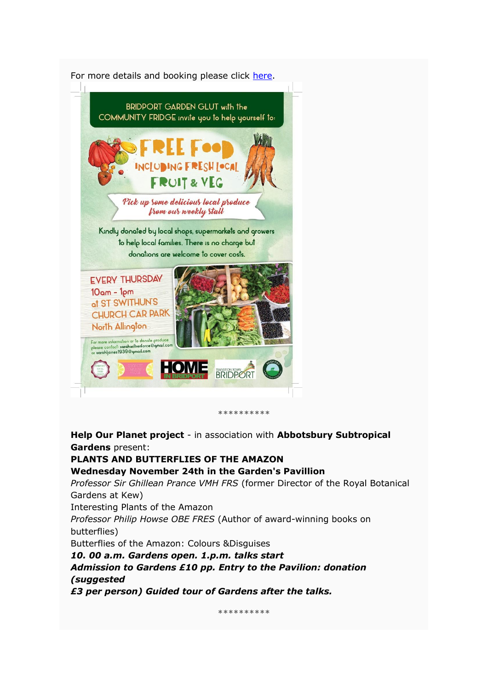

**\*\*\*\*\*\*\*\*\*\***

**Help Our Planet project** - in association with **Abbotsbury Subtropical Gardens** present:

**PLANTS AND BUTTERFLIES OF THE AMAZON Wednesday November 24th in the Garden's Pavillion** *Professor Sir Ghillean Prance VMH FRS* (former Director of the Royal Botanical Gardens at Kew) Interesting Plants of the Amazon *Professor Philip Howse OBE FRES* (Author of award-winning books on butterflies) Butterflies of the Amazon: Colours &Disguises *10. 00 a.m. Gardens open. 1.p.m. talks start Admission to Gardens £10 pp. Entry to the Pavilion: donation (suggested*

*£3 per person) Guided tour of Gardens after the talks.*

**\*\*\*\*\*\*\*\*\*\***